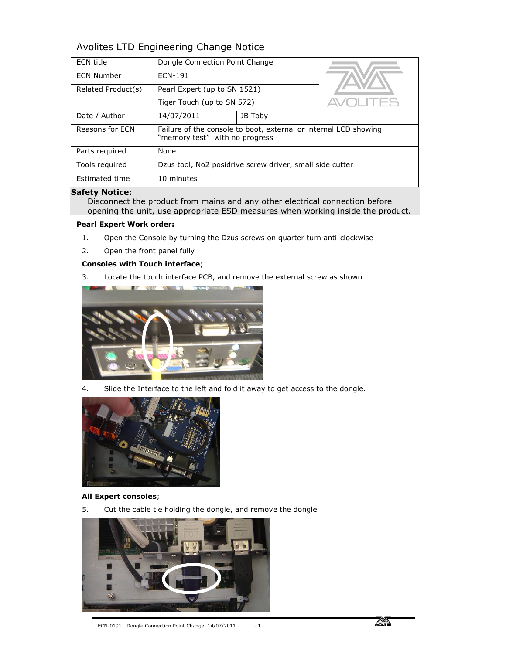# Avolites LTD Engineering Change Notice

| <b>ECN</b> title   | Dongle Connection Point Change                                                                     |         |             |
|--------------------|----------------------------------------------------------------------------------------------------|---------|-------------|
| <b>ECN Number</b>  | ECN-191                                                                                            |         |             |
| Related Product(s) | Pearl Expert (up to SN 1521)                                                                       |         |             |
|                    | Tiger Touch (up to SN 572)                                                                         |         | <b>ITES</b> |
| Date / Author      | 14/07/2011                                                                                         | JB Toby |             |
| Reasons for ECN    | Failure of the console to boot, external or internal LCD showing<br>"memory test" with no progress |         |             |
| Parts required     | None                                                                                               |         |             |
| Tools required     | Dzus tool, No2 posidrive screw driver, small side cutter                                           |         |             |
| Estimated time     | 10 minutes                                                                                         |         |             |

## Safety Notice:

Disconnect the product from mains and any other electrical connection before opening the unit, use appropriate ESD measures when working inside the product.

## Pearl Expert Work order:

- 1. Open the Console by turning the Dzus screws on quarter turn anti-clockwise
- 2. Open the front panel fully

## Consoles with Touch interface;

3. Locate the touch interface PCB, and remove the external screw as shown



4. Slide the Interface to the left and fold it away to get access to the dongle.



### All Expert consoles;

5. Cut the cable tie holding the dongle, and remove the dongle

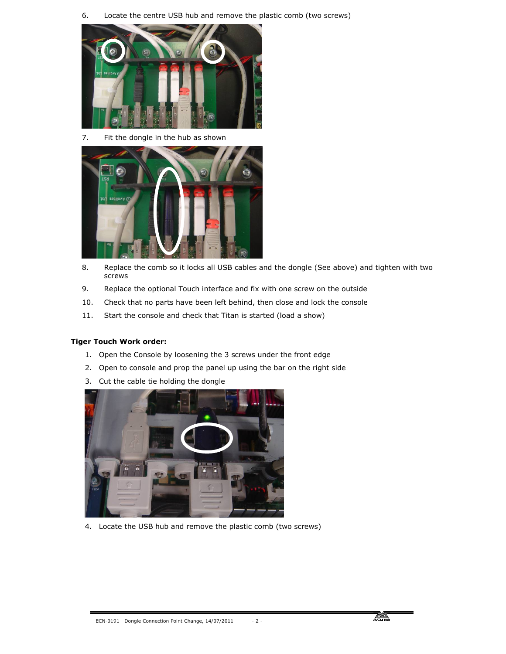6. Locate the centre USB hub and remove the plastic comb (two screws)



7. Fit the dongle in the hub as shown



- 8. Replace the comb so it locks all USB cables and the dongle (See above) and tighten with two screws
- 9. Replace the optional Touch interface and fix with one screw on the outside
- 10. Check that no parts have been left behind, then close and lock the console
- 11. Start the console and check that Titan is started (load a show)

### Tiger Touch Work order:

- 1. Open the Console by loosening the 3 screws under the front edge
- 2. Open to console and prop the panel up using the bar on the right side
- 3. Cut the cable tie holding the dongle



4. Locate the USB hub and remove the plastic comb (two screws)